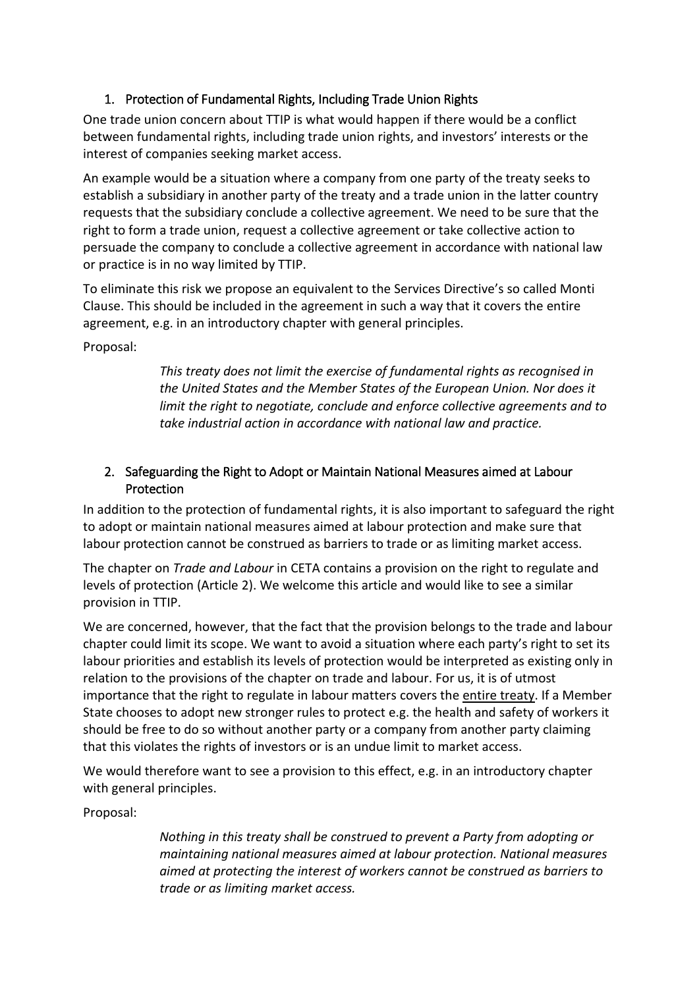# 1. Protection of Fundamental Rights, Including Trade Union Rights

One trade union concern about TTIP is what would happen if there would be a conflict between fundamental rights, including trade union rights, and investors' interests or the interest of companies seeking market access.

An example would be a situation where a company from one party of the treaty seeks to establish a subsidiary in another party of the treaty and a trade union in the latter country requests that the subsidiary conclude a collective agreement. We need to be sure that the right to form a trade union, request a collective agreement or take collective action to persuade the company to conclude a collective agreement in accordance with national law or practice is in no way limited by TTIP.

To eliminate this risk we propose an equivalent to the Services Directive's so called Monti Clause. This should be included in the agreement in such a way that it covers the entire agreement, e.g. in an introductory chapter with general principles.

Proposal:

*This treaty does not limit the exercise of fundamental rights as recognised in the United States and the Member States of the European Union. Nor does it limit the right to negotiate, conclude and enforce collective agreements and to take industrial action in accordance with national law and practice.*

## 2. Safeguarding the Right to Adopt or Maintain National Measures aimed at Labour **Protection**

In addition to the protection of fundamental rights, it is also important to safeguard the right to adopt or maintain national measures aimed at labour protection and make sure that labour protection cannot be construed as barriers to trade or as limiting market access.

The chapter on *Trade and Labour* in CETA contains a provision on the right to regulate and levels of protection (Article 2). We welcome this article and would like to see a similar provision in TTIP.

We are concerned, however, that the fact that the provision belongs to the trade and labour chapter could limit its scope. We want to avoid a situation where each party's right to set its labour priorities and establish its levels of protection would be interpreted as existing only in relation to the provisions of the chapter on trade and labour. For us, it is of utmost importance that the right to regulate in labour matters covers the entire treaty. If a Member State chooses to adopt new stronger rules to protect e.g. the health and safety of workers it should be free to do so without another party or a company from another party claiming that this violates the rights of investors or is an undue limit to market access.

We would therefore want to see a provision to this effect, e.g. in an introductory chapter with general principles.

Proposal:

*Nothing in this treaty shall be construed to prevent a Party from adopting or maintaining national measures aimed at labour protection. National measures aimed at protecting the interest of workers cannot be construed as barriers to trade or as limiting market access.*